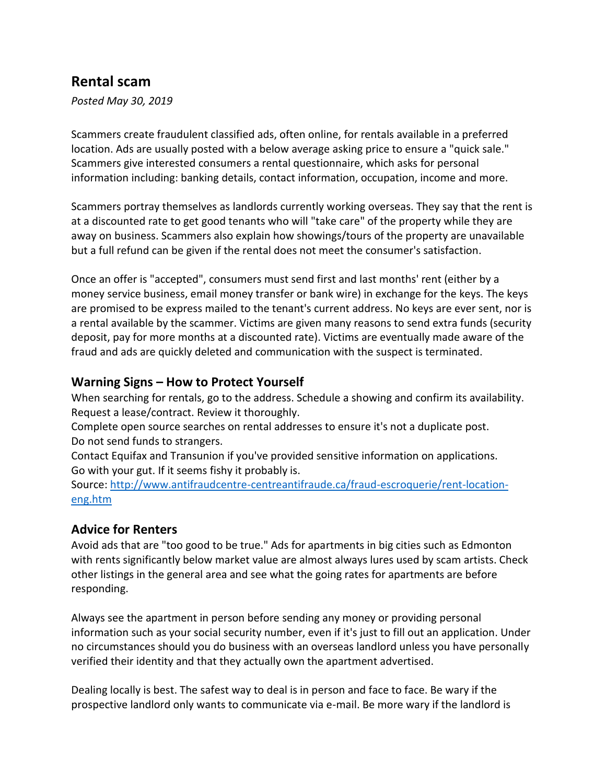## **Rental scam**

*Posted May 30, 2019*

Scammers create fraudulent classified ads, often online, for rentals available in a preferred location. Ads are usually posted with a below average asking price to ensure a "quick sale." Scammers give interested consumers a rental questionnaire, which asks for personal information including: banking details, contact information, occupation, income and more.

Scammers portray themselves as landlords currently working overseas. They say that the rent is at a discounted rate to get good tenants who will "take care" of the property while they are away on business. Scammers also explain how showings/tours of the property are unavailable but a full refund can be given if the rental does not meet the consumer's satisfaction.

Once an offer is "accepted", consumers must send first and last months' rent (either by a money service business, email money transfer or bank wire) in exchange for the keys. The keys are promised to be express mailed to the tenant's current address. No keys are ever sent, nor is a rental available by the scammer. Victims are given many reasons to send extra funds (security deposit, pay for more months at a discounted rate). Victims are eventually made aware of the fraud and ads are quickly deleted and communication with the suspect is terminated.

## **Warning Signs – How to Protect Yourself**

When searching for rentals, go to the address. Schedule a showing and confirm its availability. Request a lease/contract. Review it thoroughly.

Complete open source searches on rental addresses to ensure it's not a duplicate post. Do not send funds to strangers.

Contact Equifax and Transunion if you've provided sensitive information on applications. Go with your gut. If it seems fishy it probably is.

Source: [http://www.antifraudcentre-centreantifraude.ca/fraud-escroquerie/rent-location](http://www.antifraudcentre-centreantifraude.ca/fraud-escroquerie/rent-location-eng.htm)[eng.htm](http://www.antifraudcentre-centreantifraude.ca/fraud-escroquerie/rent-location-eng.htm)

## **Advice for Renters**

Avoid ads that are "too good to be true." Ads for apartments in big cities such as Edmonton with rents significantly below market value are almost always lures used by scam artists. Check other listings in the general area and see what the going rates for apartments are before responding.

Always see the apartment in person before sending any money or providing personal information such as your social security number, even if it's just to fill out an application. Under no circumstances should you do business with an overseas landlord unless you have personally verified their identity and that they actually own the apartment advertised.

Dealing locally is best. The safest way to deal is in person and face to face. Be wary if the prospective landlord only wants to communicate via e-mail. Be more wary if the landlord is